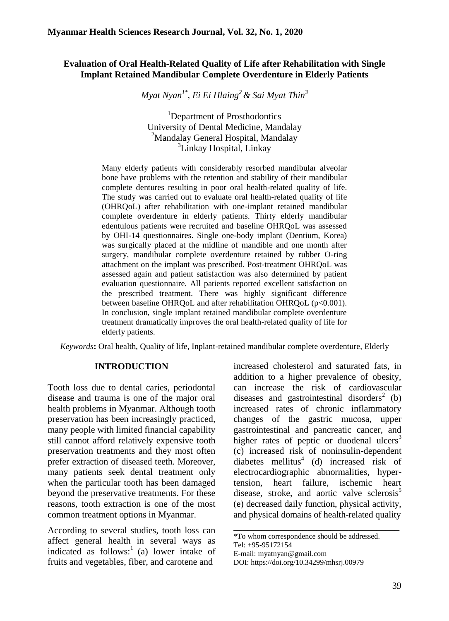# **Evaluation of Oral Health-Related Quality of Life after Rehabilitation with Single Implant Retained Mandibular Complete Overdenture in Elderly Patients**

*Myat Nyan1\* , Ei Ei Hlaing<sup>2</sup>& Sai Myat Thin<sup>3</sup>*

<sup>1</sup>Department of Prosthodontics University of Dental Medicine, Mandalay <sup>2</sup>Mandalay General Hospital, Mandalay <sup>3</sup>Linkay Hospital, Linkay

Many elderly patients with considerably resorbed mandibular alveolar bone have problems with the retention and stability of their mandibular complete dentures resulting in poor oral health-related quality of life. The study was carried out to evaluate oral health-related quality of life (OHRQoL) after rehabilitation with one-implant retained mandibular complete overdenture in elderly patients. Thirty elderly mandibular edentulous patients were recruited and baseline OHRQoL was assessed by OHI-14 questionnaires. Single one-body implant (Dentium, Korea) was surgically placed at the midline of mandible and one month after surgery, mandibular complete overdenture retained by rubber O-ring attachment on the implant was prescribed. Post-treatment OHRQoL was assessed again and patient satisfaction was also determined by patient evaluation questionnaire. All patients reported excellent satisfaction on the prescribed treatment. There was highly significant difference between baseline OHRQoL and after rehabilitation OHRQoL (p<0.001). In conclusion, single implant retained mandibular complete overdenture treatment dramatically improves the oral health-related quality of life for elderly patients.

*Keywords***:** Oral health, Quality of life, Inplant-retained mandibular complete overdenture, Elderly

### **INTRODUCTION**

Tooth loss due to dental caries, periodontal disease and trauma is one of the major oral health problems in Myanmar. Although tooth preservation has been increasingly practiced, many people with limited financial capability still cannot afford relatively expensive tooth preservation treatments and they most often prefer extraction of diseased teeth. Moreover, many patients seek dental treatment only when the particular tooth has been damaged beyond the preservative treatments. For these reasons, tooth extraction is one of the most common treatment options in Myanmar.

According to several studies, tooth loss can affect general health in several ways as indicated as  $follows:<sup>1</sup>$  (a) lower intake of fruits and vegetables, fiber, and carotene and

increased cholesterol and saturated fats, in addition to a higher prevalence of obesity, can increase the risk of cardiovascular diseases and gastrointestinal disorders<sup>2</sup> (b) increased rates of chronic inflammatory changes of the gastric mucosa, upper gastrointestinal and pancreatic cancer, and higher rates of peptic or duodenal ulcers $3$ (c) increased risk of noninsulin-dependent diabetes mellitus $4$  (d) increased risk of electrocardiographic abnormalities, hypertension, heart failure, ischemic heart disease, stroke, and aortic valve sclerosis $5$ (e) decreased daily function, physical activity, and physical domains of health-related quality

\_\_\_\_\_\_\_\_\_\_\_\_\_\_\_\_\_\_\_\_\_\_\_\_\_\_\_\_\_\_\_\_\_\_\_\_

<sup>\*</sup>To whom correspondence should be addressed. Tel: +95-95172154 E-mail: myatnya[n@gmail.com](mailto:kkoutm@gmail.com) DOI: https://doi.org/10.34299/mhsrj.00979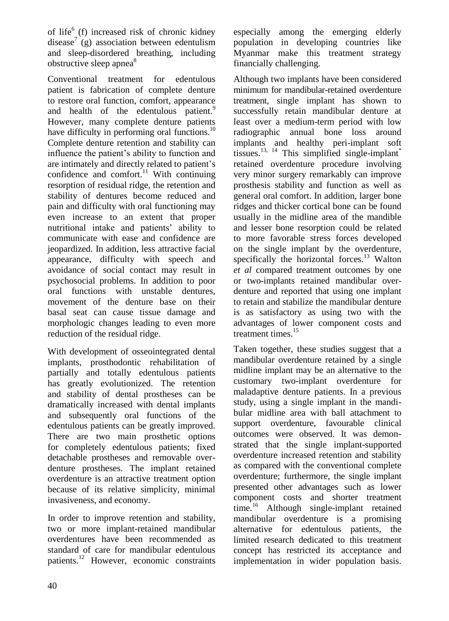of life<sup>6</sup> (f) increased risk of chronic kidney disease<sup>7</sup> (g) association between edentulism and sleep-disordered breathing, including obstructive sleep apnea<sup>8</sup>

Conventional treatment for edentulous patient is fabrication of complete denture to restore oral function, comfort, appearance and health of the edentulous patient.<sup>9</sup> However, many complete denture patients have difficulty in performing oral functions. $^{10}$ Complete denture retention and stability can influence the patient's ability to function and are intimately and directly related to patient's confidence and comfort.<sup>11</sup> With continuing resorption of residual ridge, the retention and stability of dentures become reduced and pain and difficulty with oral functioning may even increase to an extent that proper nutritional intake and patients' ability to communicate with ease and confidence are jeopardized. In addition, less attractive facial appearance, difficulty with speech and avoidance of social contact may result in psychosocial problems. In addition to poor oral functions with unstable dentures, movement of the denture base on their basal seat can cause tissue damage and morphologic changes leading to even more reduction of the residual ridge.

With development of osseointegrated dental implants, prosthodontic rehabilitation of partially and totally edentulous patients has greatly evolutionized. The retention and stability of dental prostheses can be dramatically increased with dental implants and subsequently oral functions of the edentulous patients can be greatly improved. There are two main prosthetic options for completely edentulous patients; fixed detachable prostheses and removable overdenture prostheses. The implant retained overdenture is an attractive treatment option because of its relative simplicity, minimal invasiveness, and economy.

In order to improve retention and stability, two or more implant-retained mandibular overdentures have been recommended as standard of care for mandibular edentulous patients.<sup>12</sup> However, economic constraints especially among the emerging elderly population in developing countries like Myanmar make this treatment strategy financially challenging.

Although two implants have been considered minimum for mandibular-retained overdenture treatment, single implant has shown to successfully retain mandibular denture at least over a medium-term period with low radiographic annual bone loss around implants and healthy peri-implant soft tissues.<sup>13, 14</sup> This simplified single-implant<sup>\*</sup> retained overdenture procedure involving very minor surgery remarkably can improve prosthesis stability and function as well as general oral comfort. In addition, larger bone ridges and thicker cortical bone can be found usually in the midline area of the mandible and lesser bone resorption could be related to more favorable stress forces developed on the single implant by the overdenture, specifically the horizontal forces.<sup>13</sup> Walton *et al* compared treatment outcomes by one or two-implants retained mandibular overdenture and reported that using one implant to retain and stabilize the mandibular denture is as satisfactory as using two with the advantages of lower component costs and treatment times.<sup>15</sup>

Taken together, these studies suggest that a mandibular overdenture retained by a single midline implant may be an alternative to the customary two-implant overdenture for maladaptive denture patients. In a previous study, using a single implant in the mandibular midline area with ball attachment to support overdenture, favourable clinical outcomes were observed. It was demonstrated that the single implant-supported overdenture increased retention and stability as compared with the conventional complete overdenture; furthermore, the single implant presented other advantages such as lower component costs and shorter treatment time.<sup>16</sup> Although single-implant retained mandibular overdenture is a promising alternative for edentulous patients, the limited research dedicated to this treatment concept has restricted its acceptance and implementation in wider population basis.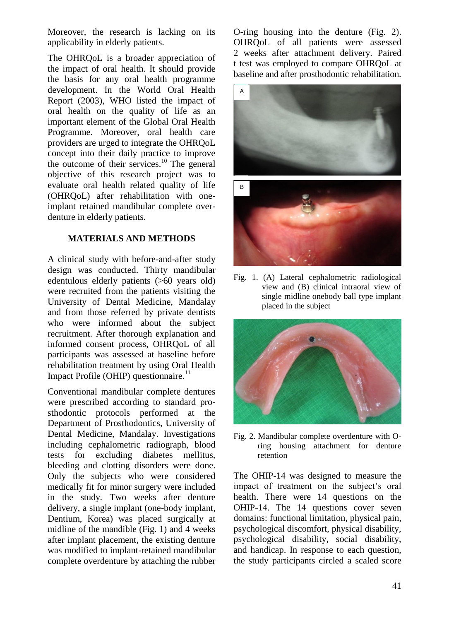Moreover, the research is lacking on its applicability in elderly patients.

The OHRQoL is a broader appreciation of the impact of oral health. It should provide the basis for any oral health programme development. In the World Oral Health Report (2003), WHO listed the impact of oral health on the quality of life as an important element of the Global Oral Health Programme. Moreover, oral health care providers are urged to integrate the OHRQoL concept into their daily practice to improve the outcome of their services.<sup>10</sup> The general objective of this research project was to evaluate oral health related quality of life (OHRQoL) after rehabilitation with oneimplant retained mandibular complete overdenture in elderly patients.

## **MATERIALS AND METHODS**

A clinical study with before-and-after study design was conducted. Thirty mandibular edentulous elderly patients (>60 years old) were recruited from the patients visiting the University of Dental Medicine, Mandalay and from those referred by private dentists who were informed about the subject recruitment. After thorough explanation and informed consent process, OHRQoL of all participants was assessed at baseline before rehabilitation treatment by using Oral Health Impact Profile (OHIP) questionnaire. $11$ 

Conventional mandibular complete dentures were prescribed according to standard prosthodontic protocols performed at the Department of Prosthodontics, University of Dental Medicine, Mandalay. Investigations including cephalometric radiograph, blood tests for excluding diabetes mellitus, bleeding and clotting disorders were done. Only the subjects who were considered medically fit for minor surgery were included in the study. Two weeks after denture delivery, a single implant (one-body implant, Dentium, Korea) was placed surgically at midline of the mandible (Fig. 1) and 4 weeks after implant placement, the existing denture was modified to implant-retained mandibular complete overdenture by attaching the rubber

O-ring housing into the denture (Fig. 2). OHRQoL of all patients were assessed 2 weeks after attachment delivery. Paired t test was employed to compare OHRQoL at baseline and after prosthodontic rehabilitation.



Fig. 1. (A) Lateral cephalometric radiological view and (B) clinical intraoral view of single midline onebody ball type implant placed in the subject



Fig. 2. Mandibular complete overdenture with Oring housing attachment for denture retention

The OHIP-14 was designed to measure the impact of treatment on the subject's oral health. There were 14 questions on the OHIP-14. The 14 questions cover seven domains: functional limitation, physical pain, psychological discomfort, physical disability, psychological disability, social disability, and handicap. In response to each question,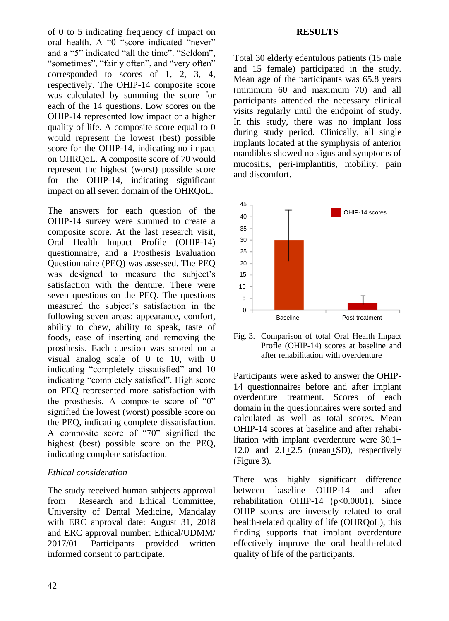of 0 to 5 indicating frequency of impact on oral health. A "0 "score indicated "never" and a "5" indicated "all the time". "Seldom", "sometimes", "fairly often", and "very often" corresponded to scores of 1, 2, 3, 4, respectively. The OHIP-14 composite score was calculated by summing the score for each of the 14 questions. Low scores on the OHIP-14 represented low impact or a higher quality of life. A composite score equal to 0 would represent the lowest (best) possible score for the OHIP-14, indicating no impact on OHRQoL. A composite score of 70 would represent the highest (worst) possible score for the OHIP-14, indicating significant impact on all seven domain of the OHRQoL.

The answers for each question of the OHIP-14 survey were summed to create a composite score. At the last research visit, Oral Health Impact Profile (OHIP-14) questionnaire, and a Prosthesis Evaluation Questionnaire (PEQ) was assessed. The PEQ was designed to measure the subject's satisfaction with the denture. There were seven questions on the PEQ. The questions measured the subject's satisfaction in the following seven areas: appearance, comfort, ability to chew, ability to speak, taste of foods, ease of inserting and removing the prosthesis. Each question was scored on a visual analog scale of 0 to 10, with 0 indicating "completely dissatisfied" and 10 indicating "completely satisfied". High score on PEQ represented more satisfaction with the prosthesis. A composite score of "0" signified the lowest (worst) possible score on the PEQ, indicating complete dissatisfaction. A composite score of "70" signified the highest (best) possible score on the PEQ, indicating complete satisfaction.  $\frac{1}{2}$  measuremeasure

# *Ethical consideration*

The study received human subjects approval from Research and Ethical Committee, University of Dental Medicine, Mandalay with ERC approval date: August 31, 2018 and ERC approval number: Ethical/UDMM/ 2017/01. Participants provided written informed consent to participate.

#### **RESULTS**

Total 30 elderly edentulous patients (15 male and 15 female) participated in the study. Mean age of the participants was 65.8 years (minimum 60 and maximum 70) and all participants attended the necessary clinical visits regularly until the endpoint of study. In this study, there was no implant loss during study period. Clinically, all single implants located at the symphysis of anterior mandibles showed no signs and symptoms of mucositis, peri-implantitis, mobility, pain and discomfort.



Fig. 3. Comparison of total Oral Health Impact Profle (OHIP-14) scores at baseline and after rehabilitation with overdenture

Participants were asked to answer the OHIP-14 questionnaires before and after implant overdenture treatment. Scores of each domain in the questionnaires were sorted and calculated as well as total scores. Mean OHIP-14 scores at baseline and after rehabilitation with implant overdenture were 30.1+ 12.0 and 2.1+2.5 (mean+SD), respectively (Figure 3).

There was highly significant difference between baseline OHIP-14 and after rehabilitation OHIP-14 (p<0.0001). Since OHIP scores are inversely related to oral health-related quality of life (OHRQoL), this finding supports that implant overdenture effectively improve the oral health-related quality of life of the participants.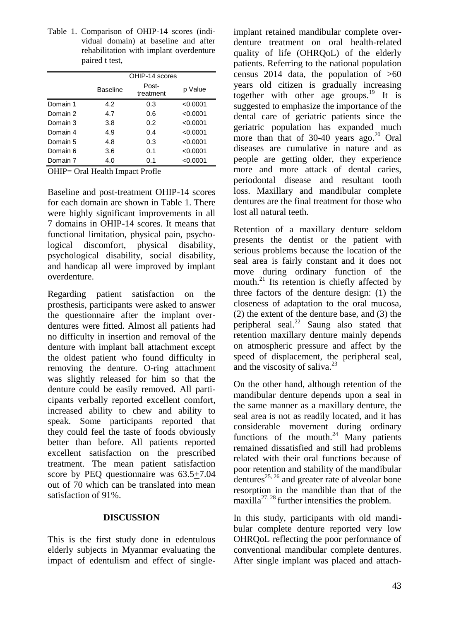Table 1. Comparison of OHIP-14 scores (individual domain) at baseline and after rehabilitation with implant overdenture paired t test,

|          | OHIP-14 scores |                    |          |
|----------|----------------|--------------------|----------|
|          | Baseline       | Post-<br>treatment | p Value  |
| Domain 1 | 4.2            | 0.3                | < 0.0001 |
| Domain 2 | 4.7            | 0.6                | < 0.0001 |
| Domain 3 | 3.8            | 0.2                | < 0.0001 |
| Domain 4 | 4.9            | 0.4                | < 0.0001 |
| Domain 5 | 4.8            | 0.3                | < 0.0001 |
| Domain 6 | 3.6            | 0.1                | < 0.0001 |
| Domain 7 | 4.0            | 0.1                | < 0.0001 |

OHIP= Oral Health Impact Profle

Baseline and post-treatment OHIP-14 scores for each domain are shown in Table 1. There were highly significant improvements in all 7 domains in OHIP-14 scores. It means that functional limitation, physical pain, psychological discomfort, physical disability, psychological disability, social disability, and handicap all were improved by implant overdenture.

Regarding patient satisfaction on the prosthesis, participants were asked to answer the questionnaire after the implant overdentures were fitted. Almost all patients had no difficulty in insertion and removal of the denture with implant ball attachment except the oldest patient who found difficulty in removing the denture. O-ring attachment was slightly released for him so that the denture could be easily removed. All participants verbally reported excellent comfort, increased ability to chew and ability to speak. Some participants reported that they could feel the taste of foods obviously better than before. All patients reported excellent satisfaction on the prescribed treatment. The mean patient satisfaction score by PEQ questionnaire was 63.5+7.04 out of 70 which can be translated into mean satisfaction of 91%.

### **DISCUSSION**

This is the first study done in edentulous elderly subjects in Myanmar evaluating the impact of edentulism and effect of singleimplant retained mandibular complete overdenture treatment on oral health-related quality of life (OHRQoL) of the elderly patients. Referring to the national population census 2014 data, the population of  $>60$ years old citizen is gradually increasing together with other age groups.<sup>19</sup> It is suggested to emphasize the importance of the dental care of geriatric patients since the geriatric population has expanded much more than that of  $30-40$  years ago.<sup>20</sup> Oral diseases are cumulative in nature and as people are getting older, they experience more and more attack of dental caries, periodontal disease and resultant tooth loss. Maxillary and mandibular complete dentures are the final treatment for those who lost all natural teeth.

Retention of a maxillary denture seldom presents the dentist or the patient with serious problems because the location of the seal area is fairly constant and it does not move during ordinary function of the mouth.<sup>21</sup> Its retention is chiefly affected by three factors of the denture design: (1) the closeness of adaptation to the oral mucosa, (2) the extent of the denture base, and (3) the peripheral seal.<sup>22</sup> Saung also stated that retention maxillary denture mainly depends on atmospheric pressure and affect by the speed of displacement, the peripheral seal, and the viscosity of saliva.<sup>23</sup>

On the other hand, although retention of the mandibular denture depends upon a seal in the same manner as a maxillary denture, the seal area is not as readily located, and it has considerable movement during ordinary functions of the mouth. $24$  Many patients remained dissatisfied and still had problems related with their oral functions because of poor retention and stability of the mandibular  $\det$  dentures<sup>25, 26</sup> and greater rate of alveolar bone resorption in the mandible than that of the maxilla<sup>27, 28</sup> further intensifies the problem.

In this study, participants with old mandibular complete denture reported very low OHRQoL reflecting the poor performance of conventional mandibular complete dentures. After single implant was placed and attach-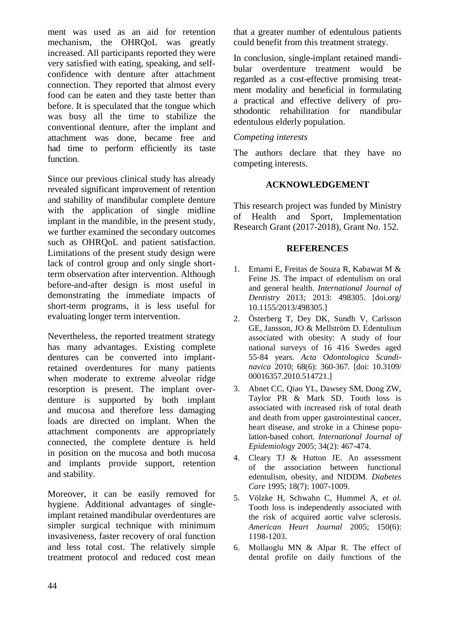ment was used as an aid for retention mechanism, the OHRQoL was greatly increased. All participants reported they were very satisfied with eating, speaking, and selfconfidence with denture after attachment connection. They reported that almost every food can be eaten and they taste better than before. It is speculated that the tongue which was busy all the time to stabilize the conventional denture, after the implant and attachment was done, became free and had time to perform efficiently its taste function.

Since our previous clinical study has already revealed significant improvement of retention and stability of mandibular complete denture with the application of single midline implant in the mandible, in the present study, we further examined the secondary outcomes such as OHRQoL and patient satisfaction. Limitations of the present study design were lack of control group and only single shortterm observation after intervention. Although before-and-after design is most useful in demonstrating the immediate impacts of short-term programs, it is less useful for evaluating longer term intervention.

Nevertheless, the reported treatment strategy has many advantages. Existing complete dentures can be converted into implantretained overdentures for many patients when moderate to extreme alveolar ridge resorption is present. The implant overdenture is supported by both implant and mucosa and therefore less damaging loads are directed on implant. When the attachment components are appropriately connected, the complete denture is held in position on the mucosa and both mucosa and implants provide support, retention and stability.

Moreover, it can be easily removed for hygiene. Additional advantages of singleimplant retained mandibular overdentures are simpler surgical technique with minimum invasiveness, faster recovery of oral function and less total cost. The relatively simple treatment protocol and reduced cost mean

that a greater number of edentulous patients could benefit from this treatment strategy.

In conclusion, single-implant retained mandibular overdenture treatment would be regarded as a cost-effective promising treatment modality and beneficial in formulating a practical and effective delivery of prosthodontic rehabilitation for mandibular edentulous elderly population.

## *Competing interests*

The authors declare that they have no competing interests.

# **ACKNOWLEDGEMENT**

This research project was funded by Ministry of Health and Sport, Implementation Research Grant (2017-2018), Grant No. 152.

## **REFERENCES**

- 1. Emami E, Freitas de Souza R, Kabawat M & Feine JS. The impact of edentulism on oral and general health. *International Journal of Dentistry* 2013*;* 2013: 498305. [doi.org/ 10.1155/2013/498305.]
- 2. Österberg T, Dey DK, Sundh V, Carlsson GE, Jansson, JO & Mellström D. Edentulism associated with obesity: A study of four national surveys of 16 416 Swedes aged 55-84 years. *Acta Odontologica Scandinavica* 2010; 68(6): 360-367. [doi: 10.3109/ 00016357.2010.514721.]
- 3. Abnet CC, Qiao YL, Dawsey SM, Dong ZW, Taylor PR & Mark SD. Tooth loss is associated with increased risk of total death and death from upper gastrointestinal cancer, heart disease, and stroke in a Chinese population-based cohort*. International Journal of Epidemiology* 2005; 34(2): 467-474.
- 4. Cleary TJ & Hutton JE. An assessment of the association between functional edentulism, obesity, and NIDDM. *Diabetes Care* 1995; 18(7): 1007-1009.
- 5. Völzke H, Schwahn C, Hummel A, *et al.* Tooth loss is independently associated with the risk of acquired aortic valve sclerosis. *American Heart Journal* 2005; 150(6): 1198-1203.
- 6. Mollaoglu MN & Alpar R. The effect of dental profile on daily functions of the